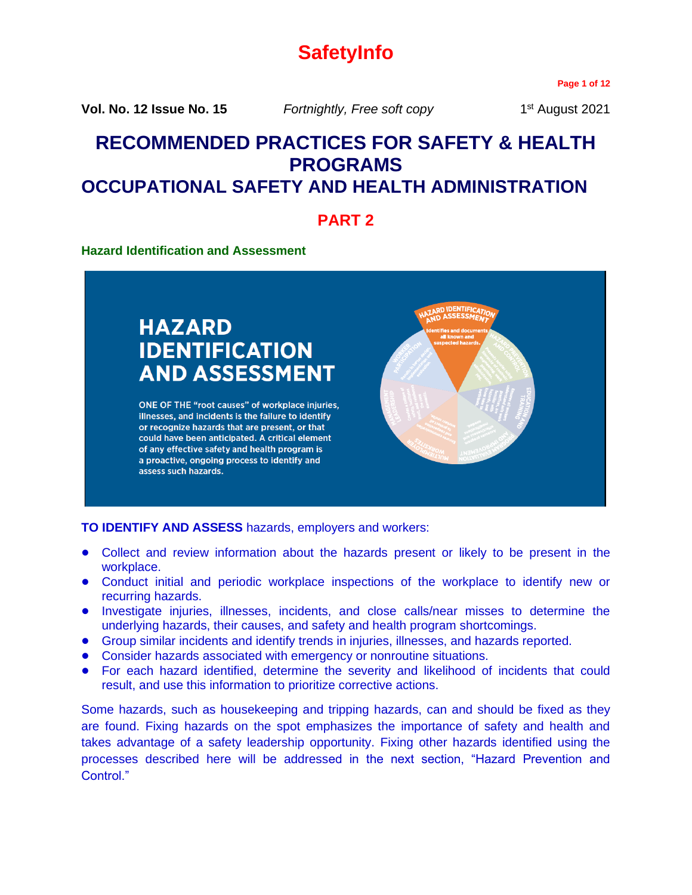# **SafetyInfo**

**Page 1 of 12**

**Vol. No. 12 Issue No. 15** *Fortnightly, Free soft copy* 1

1<sup>st</sup> August 2021

# **RECOMMENDED PRACTICES FOR SAFETY & HEALTH PROGRAMS OCCUPATIONAL SAFETY AND HEALTH ADMINISTRATION**

**PART 2**

# **Hazard Identification and Assessment**

# **HAZARD IDENTIFICATION AND ASSESSMENT**

ONE OF THE "root causes" of workplace injuries, illnesses, and incidents is the failure to identify or recognize hazards that are present, or that could have been anticipated. A critical element of any effective safety and health program is a proactive, ongoing process to identify and assess such hazards.



**TO IDENTIFY AND ASSESS** hazards, employers and workers:

- **•** Collect and review information about the hazards present or likely to be present in the workplace.
- **•** Conduct initial and periodic workplace inspections of the workplace to identify new or recurring hazards.
- **•** Investigate injuries, illnesses, incidents, and close calls/near misses to determine the underlying hazards, their causes, and safety and health program shortcomings.
- **•** Group similar incidents and identify trends in injuries, illnesses, and hazards reported.
- **•** Consider hazards associated with emergency or nonroutine situations.
- **•** For each hazard identified, determine the severity and likelihood of incidents that could result, and use this information to prioritize corrective actions.

Some hazards, such as housekeeping and tripping hazards, can and should be fixed as they are found. Fixing hazards on the spot emphasizes the importance of safety and health and takes advantage of a safety leadership opportunity. Fixing other hazards identified using the processes described here will be addressed in the next section, "Hazard Prevention and Control."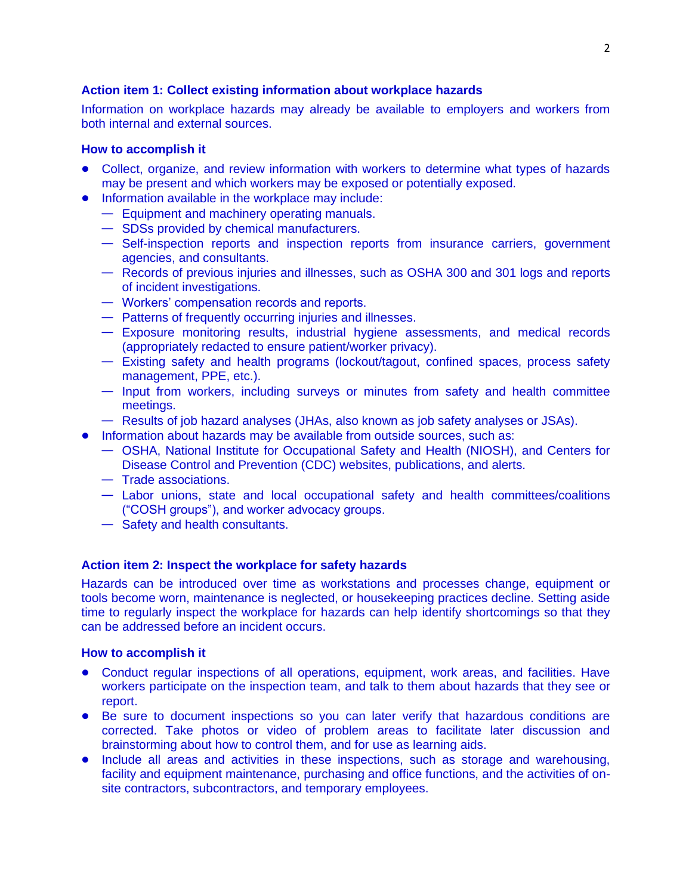# **Action item 1: Collect existing information about workplace hazards**

Information on workplace hazards may already be available to employers and workers from both internal and external sources.

#### **How to accomplish it**

- **•** Collect, organize, and review information with workers to determine what types of hazards may be present and which workers may be exposed or potentially exposed.
- **•** Information available in the workplace may include:
	- Equipment and machinery operating manuals.
	- SDSs provided by chemical manufacturers.
	- Self-inspection reports and inspection reports from insurance carriers, government agencies, and consultants.
	- Records of previous injuries and illnesses, such as OSHA 300 and 301 logs and reports of incident investigations.
	- Workers' compensation records and reports.
	- Patterns of frequently occurring injuries and illnesses.
	- Exposure monitoring results, industrial hygiene assessments, and medical records (appropriately redacted to ensure patient/worker privacy).
	- Existing safety and health programs (lockout/tagout, confined spaces, process safety management, PPE, etc.).
	- Input from workers, including surveys or minutes from safety and health committee meetings.
	- Results of job hazard analyses (JHAs, also known as job safety analyses or JSAs).
- **•** Information about hazards may be available from outside sources, such as:
	- OSHA, National Institute for Occupational Safety and Health (NIOSH), and Centers for Disease Control and Prevention (CDC) websites, publications, and alerts.
	- Trade associations.
	- Labor unions, state and local occupational safety and health committees/coalitions ("COSH groups"), and worker advocacy groups.
	- Safety and health consultants.

### **Action item 2: Inspect the workplace for safety hazards**

Hazards can be introduced over time as workstations and processes change, equipment or tools become worn, maintenance is neglected, or housekeeping practices decline. Setting aside time to regularly inspect the workplace for hazards can help identify shortcomings so that they can be addressed before an incident occurs.

- **•** Conduct regular inspections of all operations, equipment, work areas, and facilities. Have workers participate on the inspection team, and talk to them about hazards that they see or report.
- **•** Be sure to document inspections so you can later verify that hazardous conditions are corrected. Take photos or video of problem areas to facilitate later discussion and brainstorming about how to control them, and for use as learning aids.
- **•** Include all areas and activities in these inspections, such as storage and warehousing, facility and equipment maintenance, purchasing and office functions, and the activities of onsite contractors, subcontractors, and temporary employees.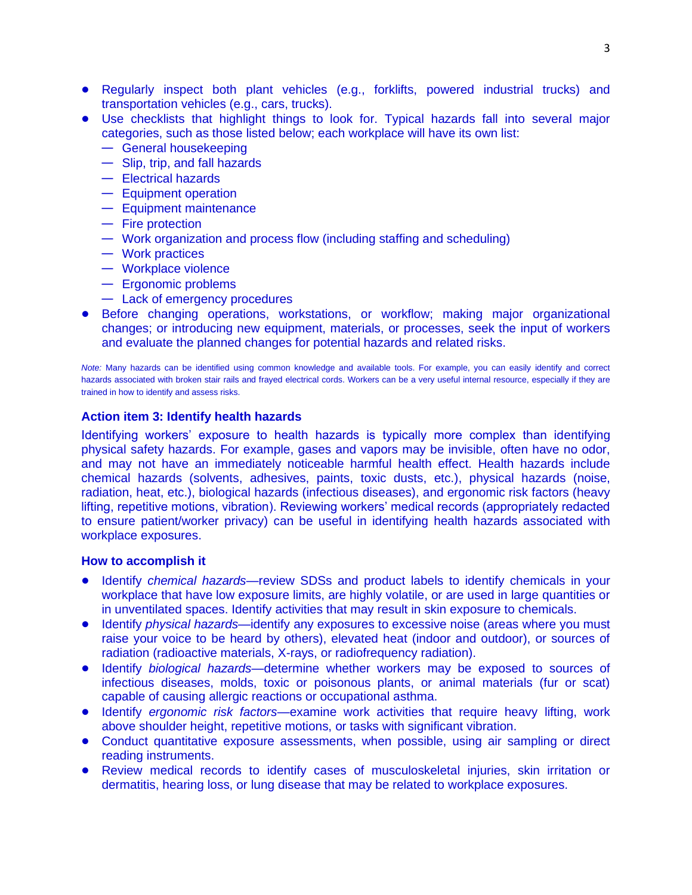- **•** Regularly inspect both plant vehicles (e.g., forklifts, powered industrial trucks) and transportation vehicles (e.g., cars, trucks).
- **•** Use checklists that highlight things to look for. Typical hazards fall into several major categories, such as those listed below; each workplace will have its own list:
	- General housekeeping
	- Slip, trip, and fall hazards
	- Electrical hazards
	- Equipment operation
	- Equipment maintenance
	- Fire protection
	- Work organization and process flow (including staffing and scheduling)
	- Work practices
	- Workplace violence
	- Ergonomic problems
	- Lack of emergency procedures
- **•** Before changing operations, workstations, or workflow; making major organizational changes; or introducing new equipment, materials, or processes, seek the input of workers and evaluate the planned changes for potential hazards and related risks.

*Note:* Many hazards can be identified using common knowledge and available tools. For example, you can easily identify and correct hazards associated with broken stair rails and frayed electrical cords. Workers can be a very useful internal resource, especially if they are trained in how to identify and assess risks.

### **Action item 3: Identify health hazards**

Identifying workers' exposure to health hazards is typically more complex than identifying physical safety hazards. For example, gases and vapors may be invisible, often have no odor, and may not have an immediately noticeable harmful health effect. Health hazards include chemical hazards (solvents, adhesives, paints, toxic dusts, etc.), physical hazards (noise, radiation, heat, etc.), biological hazards (infectious diseases), and ergonomic risk factors (heavy lifting, repetitive motions, vibration). Reviewing workers' medical records (appropriately redacted to ensure patient/worker privacy) can be useful in identifying health hazards associated with workplace exposures.

- **•** Identify *chemical hazards*—review SDSs and product labels to identify chemicals in your workplace that have low exposure limits, are highly volatile, or are used in large quantities or in unventilated spaces. Identify activities that may result in skin exposure to chemicals.
- **•** Identify *physical hazards*—identify any exposures to excessive noise (areas where you must raise your voice to be heard by others), elevated heat (indoor and outdoor), or sources of radiation (radioactive materials, X-rays, or radiofrequency radiation).
- **•** Identify *biological hazards*—determine whether workers may be exposed to sources of infectious diseases, molds, toxic or poisonous plants, or animal materials (fur or scat) capable of causing allergic reactions or occupational asthma.
- **•** Identify *ergonomic risk factors*—examine work activities that require heavy lifting, work above shoulder height, repetitive motions, or tasks with significant vibration.
- **•** Conduct quantitative exposure assessments, when possible, using air sampling or direct reading instruments.
- **•** Review medical records to identify cases of musculoskeletal injuries, skin irritation or dermatitis, hearing loss, or lung disease that may be related to workplace exposures.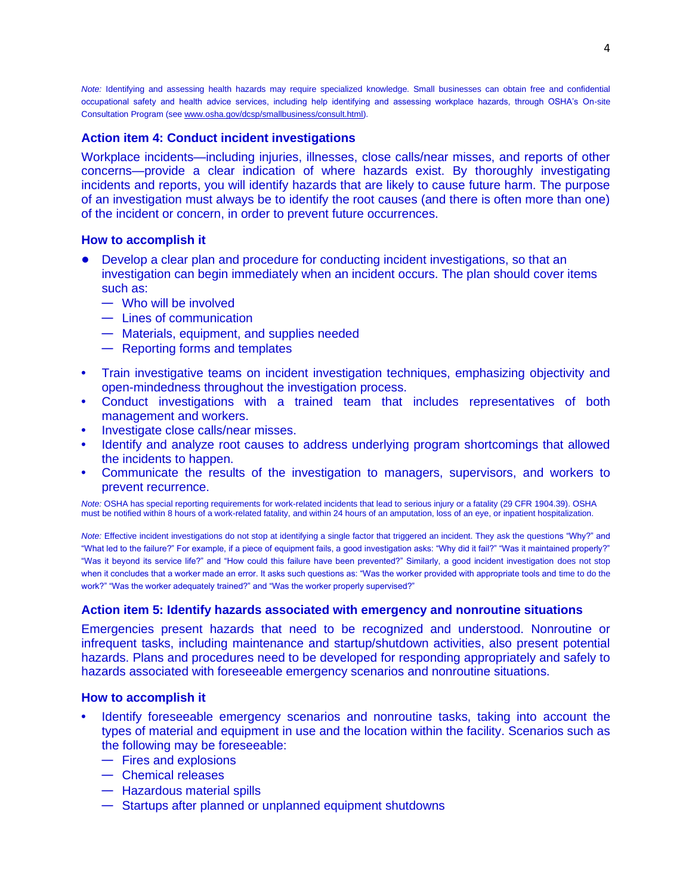*Note:* Identifying and assessing health hazards may require specialized knowledge. Small businesses can obtain free and confidential occupational safety and health advice services, including help identifying and assessing workplace hazards, through OSHA's On-site Consultation Program (se[e www.osha.gov/dcsp/smallbusiness/consult.html\).](http://www.osha.gov/dcsp/smallbusiness/consult.html)

#### **Action item 4: Conduct incident investigations**

Workplace incidents—including injuries, illnesses, close calls/near misses, and reports of other concerns—provide a clear indication of where hazards exist. By thoroughly investigating incidents and reports, you will identify hazards that are likely to cause future harm. The purpose of an investigation must always be to identify the root causes (and there is often more than one) of the incident or concern, in order to prevent future occurrences.

#### **How to accomplish it**

- **•** Develop a clear plan and procedure for conducting incident investigations, so that an investigation can begin immediately when an incident occurs. The plan should cover items such as:
	- Who will be involved
	- Lines of communication
	- Materials, equipment, and supplies needed
	- Reporting forms and templates
- **•** Train investigative teams on incident investigation techniques, emphasizing objectivity and open-mindedness throughout the investigation process.
- **•** Conduct investigations with a trained team that includes representatives of both management and workers.
- **•** Investigate close calls/near misses.
- **•** Identify and analyze root causes to address underlying program shortcomings that allowed the incidents to happen.
- **•** Communicate the results of the investigation to managers, supervisors, and workers to prevent recurrence.

*Note:* OSHA has special reporting requirements for work-related incidents that lead to serious injury or a fatality (29 CFR 1904.39). OSHA must be notified within 8 hours of a work-related fatality, and within 24 hours of an amputation, loss of an eye, or inpatient hospitalization.

*Note:* Effective incident investigations do not stop at identifying a single factor that triggered an incident. They ask the questions "Why?" and "What led to the failure?" For example, if a piece of equipment fails, a good investigation asks: "Why did it fail?" "Was it maintained properly?" "Was it beyond its service life?" and "How could this failure have been prevented?" Similarly, a good incident investigation does not stop when it concludes that a worker made an error. It asks such questions as: "Was the worker provided with appropriate tools and time to do the work?" "Was the worker adequately trained?" and "Was the worker properly supervised?"

#### **Action item 5: Identify hazards associated with emergency and nonroutine situations**

Emergencies present hazards that need to be recognized and understood. Nonroutine or infrequent tasks, including maintenance and startup/shutdown activities, also present potential hazards. Plans and procedures need to be developed for responding appropriately and safely to hazards associated with foreseeable emergency scenarios and nonroutine situations.

- **•** Identify foreseeable emergency scenarios and nonroutine tasks, taking into account the types of material and equipment in use and the location within the facility. Scenarios such as the following may be foreseeable:
	- Fires and explosions
	- Chemical releases
	- Hazardous material spills
	- Startups after planned or unplanned equipment shutdowns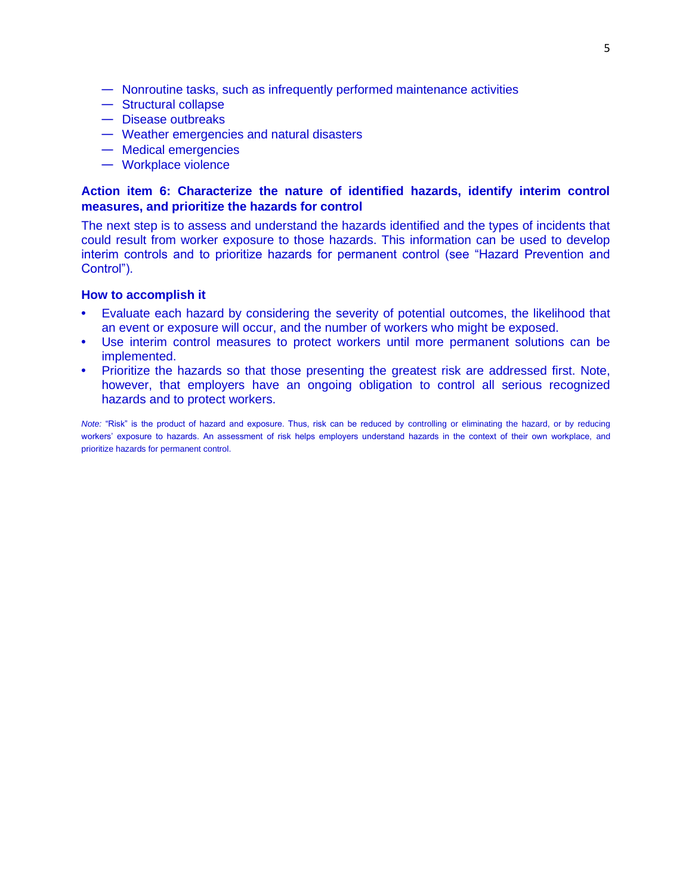- Nonroutine tasks, such as infrequently performed maintenance activities
- Structural collapse
- Disease outbreaks
- Weather emergencies and natural disasters
- Medical emergencies
- Workplace violence

# **Action item 6: Characterize the nature of identified hazards, identify interim control measures, and prioritize the hazards for control**

The next step is to assess and understand the hazards identified and the types of incidents that could result from worker exposure to those hazards. This information can be used to develop interim controls and to prioritize hazards for permanent control (see "Hazard Prevention and Control").

#### **How to accomplish it**

- **•** Evaluate each hazard by considering the severity of potential outcomes, the likelihood that an event or exposure will occur, and the number of workers who might be exposed.
- **•** Use interim control measures to protect workers until more permanent solutions can be implemented.
- **•** Prioritize the hazards so that those presenting the greatest risk are addressed first. Note, however, that employers have an ongoing obligation to control all serious recognized hazards and to protect workers.

*Note:* "Risk" is the product of hazard and exposure. Thus, risk can be reduced by controlling or eliminating the hazard, or by reducing workers' exposure to hazards. An assessment of risk helps employers understand hazards in the context of their own workplace, and prioritize hazards for permanent control.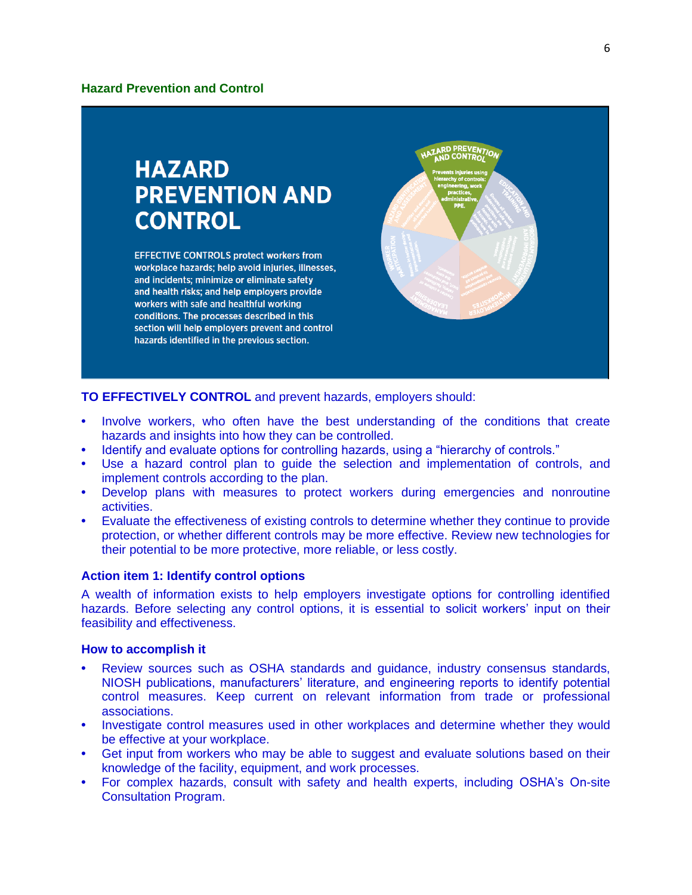# **HAZARD PREVENTION AND CONTROL**

**EFFECTIVE CONTROLS protect workers from** workplace hazards; help avoid injuries, illnesses, and incidents; minimize or eliminate safety and health risks; and help employers provide workers with safe and healthful working conditions. The processes described in this section will help employers prevent and control hazards identified in the previous section.



**TO EFFECTIVELY CONTROL** and prevent hazards, employers should:

- **•** Involve workers, who often have the best understanding of the conditions that create hazards and insights into how they can be controlled.
- **•** Identify and evaluate options for controlling hazards, using a "hierarchy of controls."
- **•** Use a hazard control plan to guide the selection and implementation of controls, and implement controls according to the plan.
- **•** Develop plans with measures to protect workers during emergencies and nonroutine activities.
- **•** Evaluate the effectiveness of existing controls to determine whether they continue to provide protection, or whether different controls may be more effective. Review new technologies for their potential to be more protective, more reliable, or less costly.

### **Action item 1: Identify control options**

A wealth of information exists to help employers investigate options for controlling identified hazards. Before selecting any control options, it is essential to solicit workers' input on their feasibility and effectiveness.

- **•** Review sources such as OSHA standards and guidance, industry consensus standards, NIOSH publications, manufacturers' literature, and engineering reports to identify potential control measures. Keep current on relevant information from trade or professional associations.
- **•** Investigate control measures used in other workplaces and determine whether they would be effective at your workplace.
- **•** Get input from workers who may be able to suggest and evaluate solutions based on their knowledge of the facility, equipment, and work processes.
- **•** For complex hazards, consult with safety and health experts, including OSHA's On-site Consultation Program.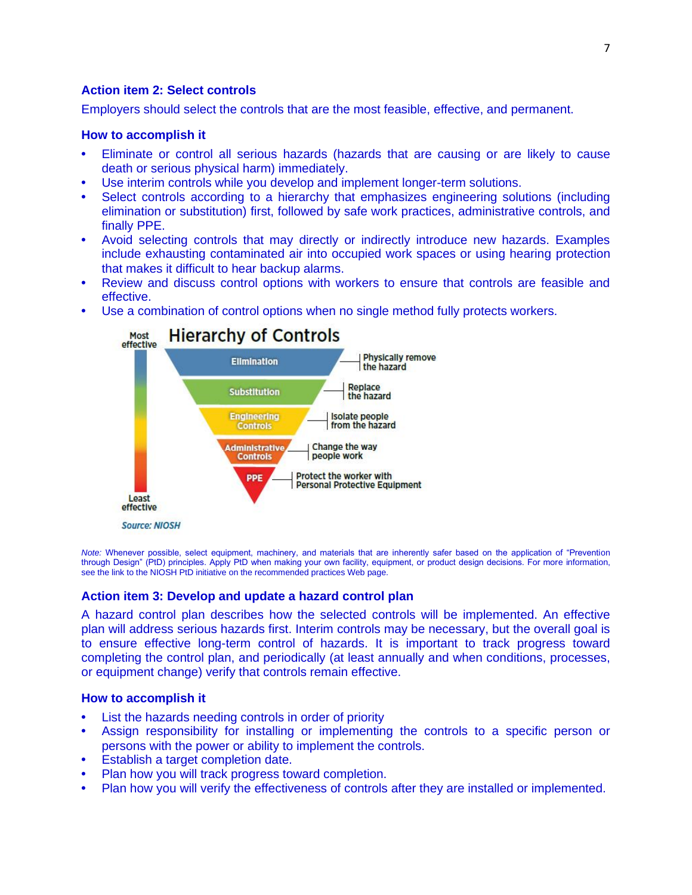# **Action item 2: Select controls**

Employers should select the controls that are the most feasible, effective, and permanent.

#### **How to accomplish it**

- **•** Eliminate or control all serious hazards (hazards that are causing or are likely to cause death or serious physical harm) immediately.
- **•** Use interim controls while you develop and implement longer-term solutions.
- **•** Select controls according to a hierarchy that emphasizes engineering solutions (including elimination or substitution) first, followed by safe work practices, administrative controls, and finally PPE.
- **•** Avoid selecting controls that may directly or indirectly introduce new hazards. Examples include exhausting contaminated air into occupied work spaces or using hearing protection that makes it difficult to hear backup alarms.
- **•** Review and discuss control options with workers to ensure that controls are feasible and effective.
- **•** Use a combination of control options when no single method fully protects workers.



*Note:* Whenever possible, select equipment, machinery, and materials that are inherently safer based on the application of "Prevention through Design" (PtD) principles. Apply PtD when making your own facility, equipment, or product design decisions. For more information, see the link to the NIOSH PtD initiative on the recommended practices Web page.

### **Action item 3: Develop and update a hazard control plan**

A hazard control plan describes how the selected controls will be implemented. An effective plan will address serious hazards first. Interim controls may be necessary, but the overall goal is to ensure effective long-term control of hazards. It is important to track progress toward completing the control plan, and periodically (at least annually and when conditions, processes, or equipment change) verify that controls remain effective.

- **•** List the hazards needing controls in order of priority
- **•** Assign responsibility for installing or implementing the controls to a specific person or persons with the power or ability to implement the controls.
- **•** Establish a target completion date.
- **•** Plan how you will track progress toward completion.
- **•** Plan how you will verify the effectiveness of controls after they are installed or implemented.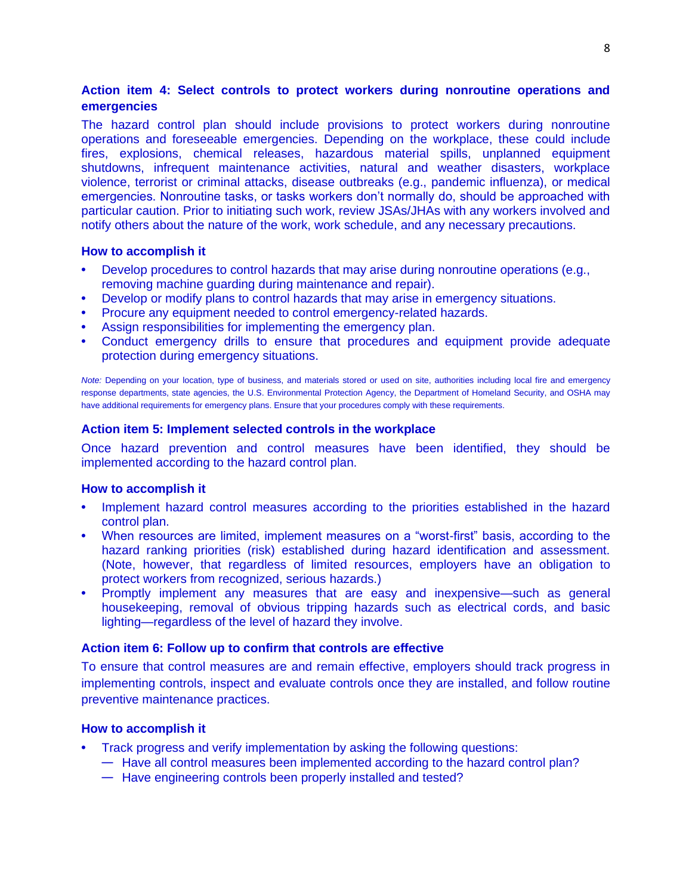# **Action item 4: Select controls to protect workers during nonroutine operations and emergencies**

The hazard control plan should include provisions to protect workers during nonroutine operations and foreseeable emergencies. Depending on the workplace, these could include fires, explosions, chemical releases, hazardous material spills, unplanned equipment shutdowns, infrequent maintenance activities, natural and weather disasters, workplace violence, terrorist or criminal attacks, disease outbreaks (e.g., pandemic influenza), or medical emergencies. Nonroutine tasks, or tasks workers don't normally do, should be approached with particular caution. Prior to initiating such work, review JSAs/JHAs with any workers involved and notify others about the nature of the work, work schedule, and any necessary precautions.

#### **How to accomplish it**

- **•** Develop procedures to control hazards that may arise during nonroutine operations (e.g., removing machine guarding during maintenance and repair).
- **•** Develop or modify plans to control hazards that may arise in emergency situations.
- **•** Procure any equipment needed to control emergency-related hazards.
- **•** Assign responsibilities for implementing the emergency plan.
- **•** Conduct emergency drills to ensure that procedures and equipment provide adequate protection during emergency situations.

*Note:* Depending on your location, type of business, and materials stored or used on site, authorities including local fire and emergency response departments, state agencies, the U.S. Environmental Protection Agency, the Department of Homeland Security, and OSHA may have additional requirements for emergency plans. Ensure that your procedures comply with these requirements.

#### **Action item 5: Implement selected controls in the workplace**

Once hazard prevention and control measures have been identified, they should be implemented according to the hazard control plan.

#### **How to accomplish it**

- **•** Implement hazard control measures according to the priorities established in the hazard control plan.
- **•** When resources are limited, implement measures on a "worst-first" basis, according to the hazard ranking priorities (risk) established during hazard identification and assessment. (Note, however, that regardless of limited resources, employers have an obligation to protect workers from recognized, serious hazards.)
- **•** Promptly implement any measures that are easy and inexpensive—such as general housekeeping, removal of obvious tripping hazards such as electrical cords, and basic lighting—regardless of the level of hazard they involve.

#### **Action item 6: Follow up to confirm that controls are effective**

To ensure that control measures are and remain effective, employers should track progress in implementing controls, inspect and evaluate controls once they are installed, and follow routine preventive maintenance practices.

- **•** Track progress and verify implementation by asking the following questions:
	- Have all control measures been implemented according to the hazard control plan?
	- Have engineering controls been properly installed and tested?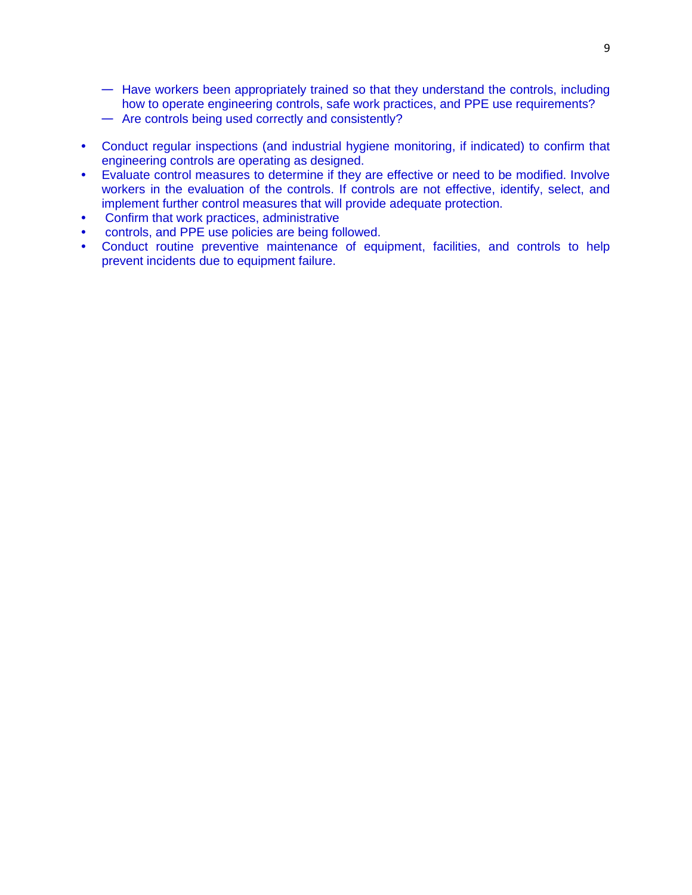- Have workers been appropriately trained so that they understand the controls, including how to operate engineering controls, safe work practices, and PPE use requirements?
- Are controls being used correctly and consistently?
- **•** Conduct regular inspections (and industrial hygiene monitoring, if indicated) to confirm that engineering controls are operating as designed.
- **•** Evaluate control measures to determine if they are effective or need to be modified. Involve workers in the evaluation of the controls. If controls are not effective, identify, select, and implement further control measures that will provide adequate protection.
- **•** Confirm that work practices, administrative
- **•** controls, and PPE use policies are being followed.
- **•** Conduct routine preventive maintenance of equipment, facilities, and controls to help prevent incidents due to equipment failure.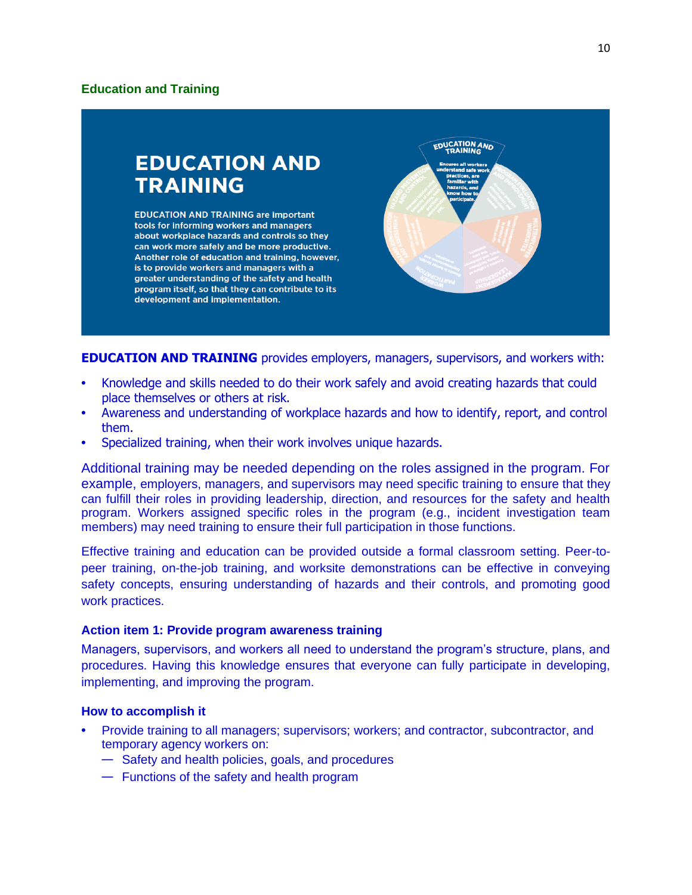# **Education and Training**



**EDUCATION AND TRAINING** provides employers, managers, supervisors, and workers with:

- **•** Knowledge and skills needed to do their work safely and avoid creating hazards that could place themselves or others at risk.
- **•** Awareness and understanding of workplace hazards and how to identify, report, and control them.
- **•** Specialized training, when their work involves unique hazards.

Additional training may be needed depending on the roles assigned in the program. For example, employers, managers, and supervisors may need specific training to ensure that they can fulfill their roles in providing leadership, direction, and resources for the safety and health program. Workers assigned specific roles in the program (e.g., incident investigation team members) may need training to ensure their full participation in those functions.

Effective training and education can be provided outside a formal classroom setting. Peer-topeer training, on-the-job training, and worksite demonstrations can be effective in conveying safety concepts, ensuring understanding of hazards and their controls, and promoting good work practices.

### **Action item 1: Provide program awareness training**

Managers, supervisors, and workers all need to understand the program's structure, plans, and procedures. Having this knowledge ensures that everyone can fully participate in developing, implementing, and improving the program.

- **•** Provide training to all managers; supervisors; workers; and contractor, subcontractor, and temporary agency workers on:
	- Safety and health policies, goals, and procedures
	- Functions of the safety and health program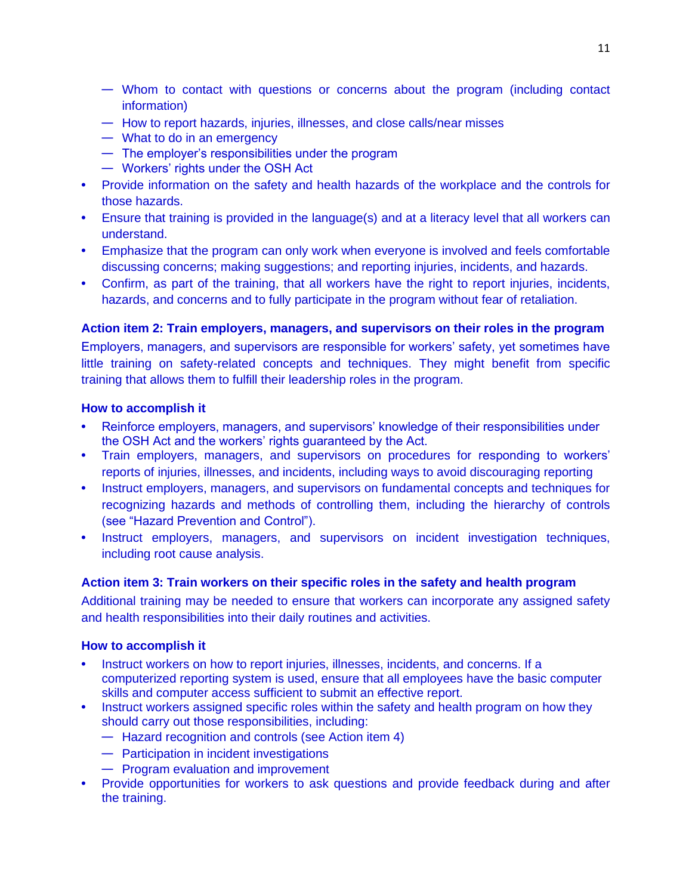- Whom to contact with questions or concerns about the program (including contact information)
- How to report hazards, injuries, illnesses, and close calls/near misses
- What to do in an emergency
- The employer's responsibilities under the program
- Workers' rights under the OSH Act
- **•** Provide information on the safety and health hazards of the workplace and the controls for those hazards.
- **•** Ensure that training is provided in the language(s) and at a literacy level that all workers can understand.
- **•** Emphasize that the program can only work when everyone is involved and feels comfortable discussing concerns; making suggestions; and reporting injuries, incidents, and hazards.
- **•** Confirm, as part of the training, that all workers have the right to report injuries, incidents, hazards, and concerns and to fully participate in the program without fear of retaliation.

# **Action item 2: Train employers, managers, and supervisors on their roles in the program**

Employers, managers, and supervisors are responsible for workers' safety, yet sometimes have little training on safety-related concepts and techniques. They might benefit from specific training that allows them to fulfill their leadership roles in the program.

### **How to accomplish it**

- **•** Reinforce employers, managers, and supervisors' knowledge of their responsibilities under the OSH Act and the workers' rights guaranteed by the Act.
- **•** Train employers, managers, and supervisors on procedures for responding to workers' reports of injuries, illnesses, and incidents, including ways to avoid discouraging reporting
- **•** Instruct employers, managers, and supervisors on fundamental concepts and techniques for recognizing hazards and methods of controlling them, including the hierarchy of controls (see "Hazard Prevention and Control").
- **•** Instruct employers, managers, and supervisors on incident investigation techniques, including root cause analysis.

# **Action item 3: Train workers on their specific roles in the safety and health program**

Additional training may be needed to ensure that workers can incorporate any assigned safety and health responsibilities into their daily routines and activities.

- **•** Instruct workers on how to report injuries, illnesses, incidents, and concerns. If a computerized reporting system is used, ensure that all employees have the basic computer skills and computer access sufficient to submit an effective report.
- **•** Instruct workers assigned specific roles within the safety and health program on how they should carry out those responsibilities, including:
	- Hazard recognition and controls (see Action item 4)
	- Participation in incident investigations
	- Program evaluation and improvement
- **•** Provide opportunities for workers to ask questions and provide feedback during and after the training.